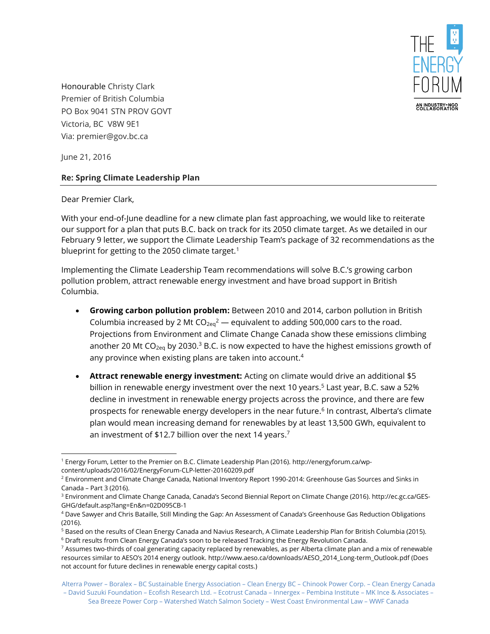

Honourable Christy Clark Premier of British Columbia PO Box 9041 STN PROV GOVT Victoria, BC V8W 9E1 Via: premier@gov.bc.ca

June 21, 2016

## **Re: Spring Climate Leadership Plan**

Dear Premier Clark,

With your end-of-June deadline for a new climate plan fast approaching, we would like to reiterate our support for a plan that puts B.C. back on track for its 2050 climate target. As we detailed in our February 9 letter, we support the Climate Leadership Team's package of 32 recommendations as the blueprint for getting to the 2050 climate target.<sup>1</sup>

Implementing the Climate Leadership Team recommendations will solve B.C.'s growing carbon pollution problem, attract renewable energy investment and have broad support in British Columbia.

- **Growing carbon pollution problem:** Between 2010 and 2014, carbon pollution in British Columbia increased by 2 Mt  $CO<sub>2eq</sub><sup>2</sup>$  — equivalent to adding 500,000 cars to the road. Projections from Environment and Climate Change Canada show these emissions climbing another 20 Mt CO<sub>2eq</sub> by 2030.<sup>3</sup> B.C. is now expected to have the highest emissions growth of any province when existing plans are taken into account. 4
- **Attract renewable energy investment:** Acting on climate would drive an additional \$5 billion in renewable energy investment over the next 10 years. <sup>5</sup> Last year, B.C. saw a 52% decline in investment in renewable energy projects across the province, and there are few prospects for renewable energy developers in the near future. 6 In contrast, Alberta's climate plan would mean increasing demand for renewables by at least 13,500 GWh, equivalent to an investment of \$12.7 billion over the next 14 years. $^7$

 $\overline{a}$ <sup>1</sup> Energy Forum, Letter to the Premier on B.C. Climate Leadership Plan (2016). [http://energyforum.ca/wp](http://energyforum.ca/wp-content/uploads/2016/02/EnergyForum-CLP-letter-20160209.pdf)[content/uploads/2016/02/EnergyForum-CLP-letter-20160209.pdf](http://energyforum.ca/wp-content/uploads/2016/02/EnergyForum-CLP-letter-20160209.pdf)

<sup>2</sup> Environment and Climate Change Canada, National Inventory Report 1990-2014: Greenhouse Gas Sources and Sinks in Canada – Part 3 (2016).

<sup>3</sup> Environment and Climate Change Canada, Canada's Second Biennial Report on Climate Change (2016). [http://ec.gc.ca/GES-](http://ec.gc.ca/GES-GHG/default.asp?lang=En&n=02D095CB-1)[GHG/default.asp?lang=En&n=02D095CB-1](http://ec.gc.ca/GES-GHG/default.asp?lang=En&n=02D095CB-1)

<sup>4</sup> Dave Sawyer and Chris Bataille, Still Minding the Gap: An Assessment of Canada's Greenhouse Gas Reduction Obligations (2016).

<sup>5</sup> Based on the results of Clean Energy Canada and Navius Research, A Climate Leadership Plan for British Columbia (2015).

<sup>6</sup> Draft results from Clean Energy Canada's soon to be released Tracking the Energy Revolution Canada.

<sup>&</sup>lt;sup>7</sup> Assumes two-thirds of coal generating capacity replaced by renewables, as per Alberta climate plan and a mix of renewable resources similar to AESO's 2014 energy outlook. [http://www.aeso.ca/downloads/AESO\\_2014\\_Long-term\\_Outlook.pdf](http://www.aeso.ca/downloads/AESO_2014_Long-term_Outlook.pdf) (Does not account for future declines in renewable energy capital costs.)

Alterra Power – Boralex – BC Sustainable Energy Association – Clean Energy BC – Chinook Power Corp. – Clean Energy Canada – David Suzuki Foundation – Ecofish Research Ltd. – Ecotrust Canada – Innergex – Pembina Institute – MK Ince & Associates – Sea Breeze Power Corp – Watershed Watch Salmon Society – West Coast Environmental Law – WWF Canada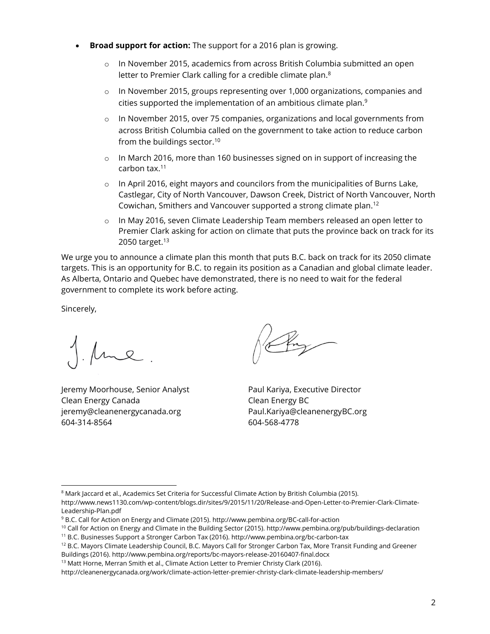- **Broad support for action:** The support for a 2016 plan is growing.
	- $\circ$  In November 2015, academics from across British Columbia submitted an open letter to Premier Clark calling for a credible climate plan.<sup>8</sup>
	- $\circ$  In November 2015, groups representing over 1,000 organizations, companies and cities supported the implementation of an ambitious climate plan. 9
	- o In November 2015, over 75 companies, organizations and local governments from across British Columbia called on the government to take action to reduce carbon from the buildings sector.<sup>10</sup>
	- o In March 2016, more than 160 businesses signed on in support of increasing the carbon tax. 11
	- $\circ$  In April 2016, eight mayors and councilors from the municipalities of Burns Lake, Castlegar, City of North Vancouver, Dawson Creek, District of North Vancouver, North Cowichan, Smithers and Vancouver supported a strong climate plan. 12
	- o In May 2016, seven Climate Leadership Team members released an open letter to Premier Clark asking for action on climate that puts the province back on track for its 2050 target.<sup>13</sup>

We urge you to announce a climate plan this month that puts B.C. back on track for its 2050 climate targets. This is an opportunity for B.C. to regain its position as a Canadian and global climate leader. As Alberta, Ontario and Quebec have demonstrated, there is no need to wait for the federal government to complete its work before acting.

Sincerely,

 $\overline{a}$ 

Jeremy Moorhouse, Senior Analyst Clean Energy Canada jeremy@cleanenergycanada.org 604-314-8564

Paul Kariya, Executive Director Clean Energy BC Paul.Kariya@cleanenergyBC.org 604-568-4778

<sup>13</sup> Matt Horne, Merran Smith et al., Climate Action Letter to Premier Christy Clark (2016).

<sup>&</sup>lt;sup>8</sup> Mark Jaccard et al., Academics Set Criteria for Successful Climate Action by British Columbia (2015).

[http://www.news1130.com/wp-content/blogs.dir/sites/9/2015/11/20/Release-and-Open-Letter-to-Premier-Clark-Climate-](http://www.news1130.com/wp-content/blogs.dir/sites/9/2015/11/20/Release-and-Open-Letter-to-Premier-Clark-Climate-Leadership-Plan.pdf)[Leadership-Plan.pdf](http://www.news1130.com/wp-content/blogs.dir/sites/9/2015/11/20/Release-and-Open-Letter-to-Premier-Clark-Climate-Leadership-Plan.pdf)

<sup>9</sup> B.C. Call for Action on Energy and Climate (2015)[. http://www.pembina.org/BC-call-for-action](http://www.pembina.org/BC-call-for-action)

<sup>&</sup>lt;sup>10</sup> Call for Action on Energy and Climate in the Building Sector (2015)[. http://www.pembina.org/pub/buildings-declaration](http://www.pembina.org/pub/buildings-declaration)

<sup>11</sup> B.C. Businesses Support a Stronger Carbon Tax (2016). <http://www.pembina.org/bc-carbon-tax>

<sup>&</sup>lt;sup>12</sup> B.C. Mayors Climate Leadership Council, B.C. Mayors Call for Stronger Carbon Tax, More Transit Funding and Greener Buildings (2016)[. http://www.pembina.org/reports/bc-mayors-release-20160407-final.docx](http://www.pembina.org/reports/bc-mayors-release-20160407-final.docx)

<http://cleanenergycanada.org/work/climate-action-letter-premier-christy-clark-climate-leadership-members/>